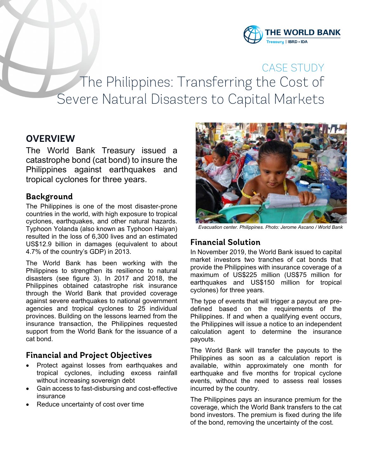

CASE STUDY The Philippines: Transferring the Cost of Severe Natural Disasters to Capital Markets

# **OVERVIEW**

The World Bank Treasury issued a catastrophe bond (cat bond) to insure the Philippines against earthquakes and tropical cyclones for three years.

#### **Background**

The Philippines is one of the most disaster-prone countries in the world, with high exposure to tropical cyclones, earthquakes, and other natural hazards. Typhoon Yolanda (also known as Typhoon Haiyan) resulted in the loss of 6,300 lives and an estimated US\$12.9 billion in damages (equivalent to about 4.7% of the country's GDP) in 2013.

The World Bank has been working with the Philippines to strengthen its resilience to natural disasters (see figure 3). In 2017 and 2018, the Philippines obtained catastrophe risk insurance through the World Bank that provided coverage against severe earthquakes to national government agencies and tropical cyclones to 25 individual provinces. Building on the lessons learned from the insurance transaction, the Philippines requested support from the World Bank for the issuance of a cat bond.

### **Financial and Project Objectives**

- Protect against losses from earthquakes and tropical cyclones, including excess rainfall without increasing sovereign debt
- Gain access to fast-disbursing and cost-effective insurance
- Reduce uncertainty of cost over time



*Evacuation center. Philippines. Photo: Jerome Ascano / World Bank*

# **Financial Solution**

In November 2019, the World Bank issued to capital market investors two tranches of cat bonds that provide the Philippines with insurance coverage of a maximum of US\$225 million (US\$75 million for earthquakes and US\$150 million for tropical cyclones) for three years.

The type of events that will trigger a payout are predefined based on the requirements of the Philippines. If and when a qualifying event occurs, the Philippines will issue a notice to an independent calculation agent to determine the insurance payouts.

The World Bank will transfer the payouts to the Philippines as soon as a calculation report is available, within approximately one month for earthquake and five months for tropical cyclone events, without the need to assess real losses incurred by the country.

The Philippines pays an insurance premium for the coverage, which the World Bank transfers to the cat bond investors. The premium is fixed during the life of the bond, removing the uncertainty of the cost.